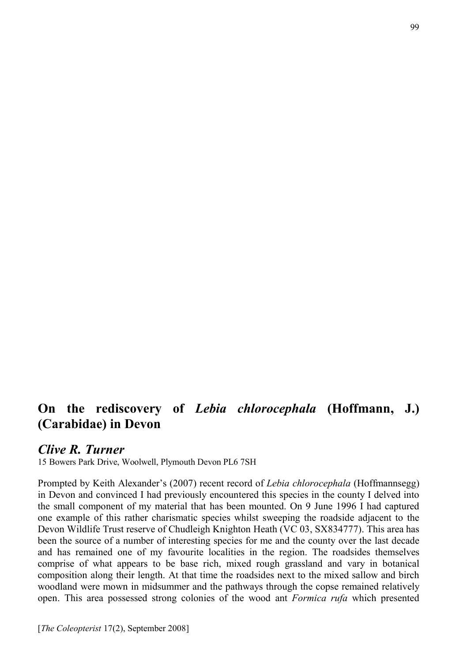## On the rediscovery of *Lebia chlorocephala* (Hoffmann, J.) (Carabidae) in Devon

## *Clive R. Turner*

15 Bowers Park Drive, Woolwell, Plymouth Devon PL6 7SH

Prompted by Keith Alexander's (2007) recent record of *Lebia chlorocephala* (Hoffmannsegg) in Devon and convinced I had previously encountered this species in the county I delved into the small component of my material that has been mounted. On 9 June 1996 I had captured one example of this rather charismatic species whilst sweeping the roadside adjacent to the Devon Wildlife Trust reserve of Chudleigh Knighton Heath (VC 03, SX834777). This area has been the source of a number of interesting species for me and the county over the last decade and has remained one of my favourite localities in the region. The roadsides themselves comprise of what appears to be base rich, mixed rough grassland and vary in botanical composition along their length. At that time the roadsides next to the mixed sallow and birch woodland were mown in midsummer and the pathways through the copse remained relatively open. This area possessed strong colonies of the wood ant *Formica rufa* which presented